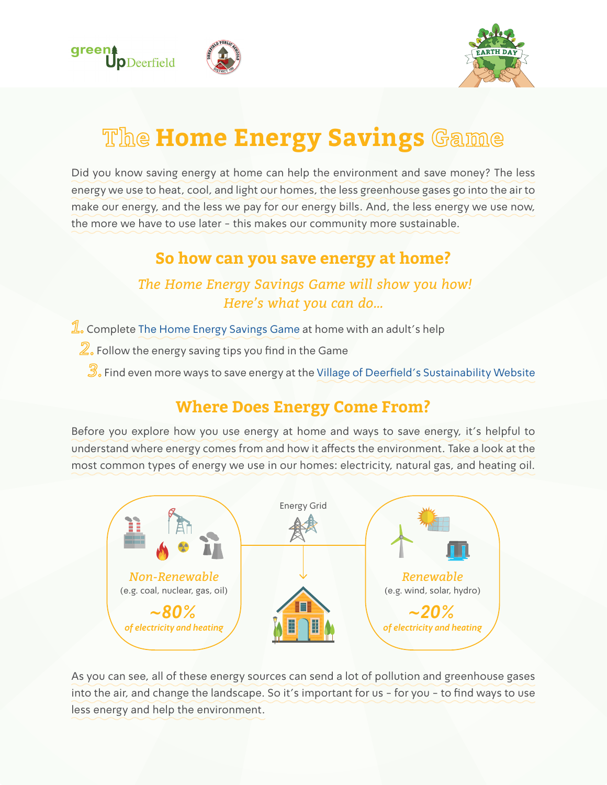



# **The Home Energy Savings Game**

Did you know saving energy at home can help the environment and save money? The less energy we use to heat, cool, and light our homes, the less greenhouse gases go into the air to make our energy, and the less we pay for our energy bills. And, the less energy we use now, the more we have to use later - this makes our community more sustainable.

#### **So how can you save energy at home?**

#### *The Home Energy Savings Game will show you how! Here's what you can do…*

- $\mathbb{L}$  Complete [The Home Energy Savings Game](https://goo.gl/forms/D4bIIaeS5x62t5eK2) at home with an adult's help
	- $\mathbb{Z}$  Follow the energy saving tips you find in the Game
		- $\mathbb{B}_\mathrm{e}$ . Find even more ways to save energy at the [Village of Deerfield's Sustainability Website](http://www.deerfield.il.us/green)

#### **Where Does Energy Come From?**

Before you explore how you use energy at home and ways to save energy, it's helpful to understand where energy comes from and how it affects the environment. Take a look at the most common types of energy we use in our homes: electricity, natural gas, and heating oil.



As you can see, all of these energy sources can send a lot of pollution and greenhouse gases into the air, and change the landscape. So it's important for us - for you - to find ways to use less energy and help the environment.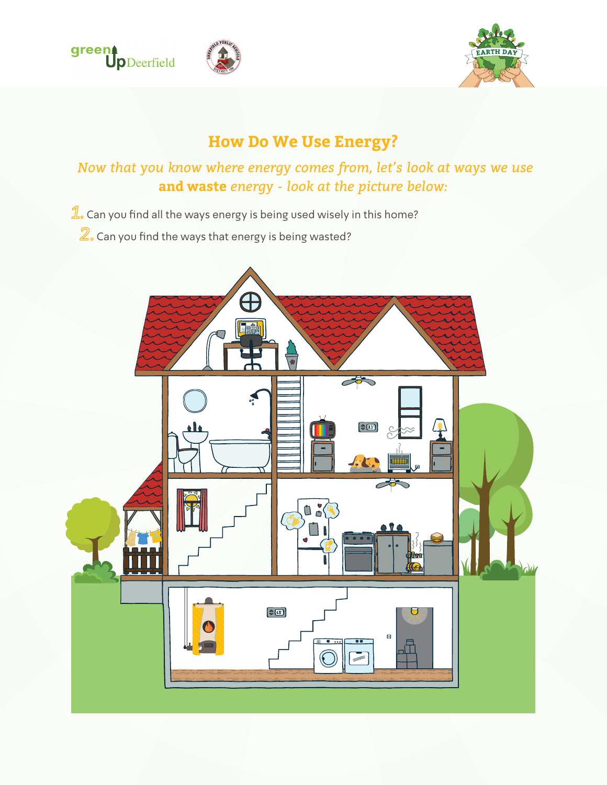





# **How Do We Use Energy?**

*Now that you know where energy comes from, let's look at ways we use*  **and waste** *energy - look at the picture below:*

 $\mathbb{1}_{\circ}$  Can you find all the ways energy is being used wisely in this home?

 $\mathbb Z$ . Can you find the ways that energy is being wasted?

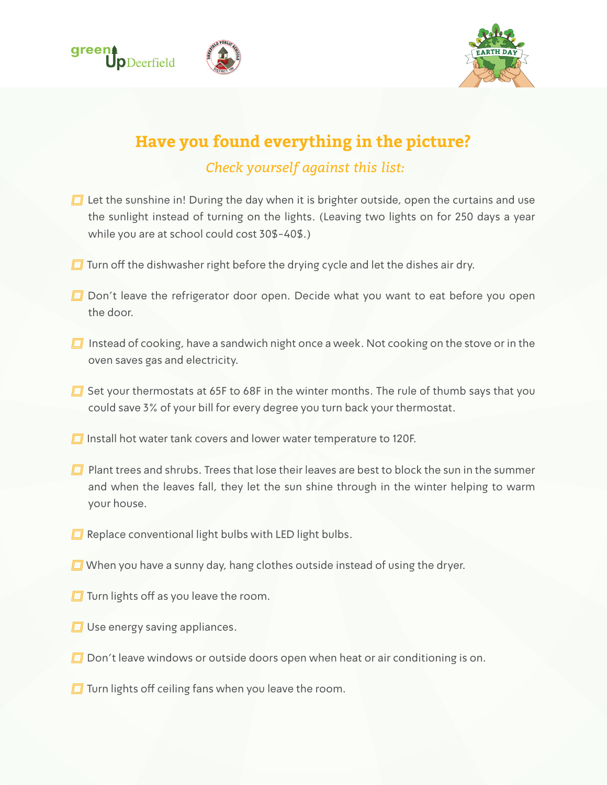



# **Have you found everything in the picture?** *Check yourself against this list:*

- $\Box$  Let the sunshine in! During the day when it is brighter outside, open the curtains and use the sunlight instead of turning on the lights. (Leaving two lights on for 250 days a year while you are at school could cost 30\$-40\$.)
- $\Box$  Turn off the dishwasher right before the drying cycle and let the dishes air dry.
- $\Box$  Don't leave the refrigerator door open. Decide what you want to eat before you open the door.
- $\Box$  Instead of cooking, have a sandwich night once a week. Not cooking on the stove or in the oven saves gas and electricity.
- $\Box$  Set your thermostats at 65F to 68F in the winter months. The rule of thumb says that you could save 3% of your bill for every degree you turn back your thermostat.
- $\Box$  Install hot water tank covers and lower water temperature to 120F.
- $\Box$  Plant trees and shrubs. Trees that lose their leaves are best to block the sun in the summer and when the leaves fall, they let the sun shine through in the winter helping to warm your house.
- $\Box$  Replace conventional light bulbs with LED light bulbs.
- $\Box$  When you have a sunny day, hang clothes outside instead of using the dryer.
- $\Box$  Turn lights off as you leave the room.
- $\Box$  Use energy saving appliances.
- $\Box$  Don't leave windows or outside doors open when heat or air conditioning is on.
- $\Box$  Turn lights off ceiling fans when you leave the room.